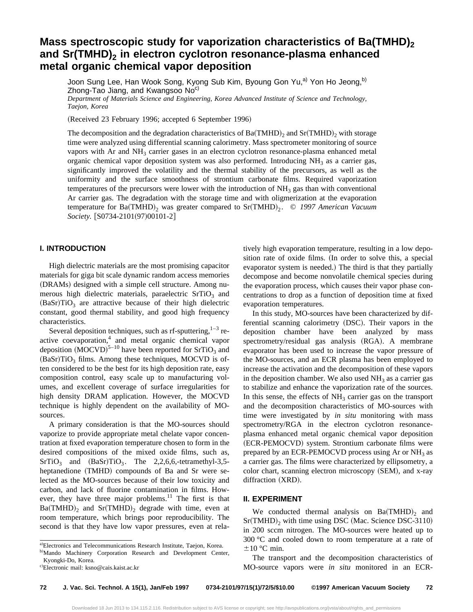# **Mass spectroscopic study for vaporization characteristics of Ba(TMHD)**<sub>2</sub> and Sr(TMHD)<sub>2</sub> in electron cyclotron resonance-plasma enhanced **metal organic chemical vapor deposition**

Joon Sung Lee, Han Wook Song, Kyong Sub Kim, Byoung Gon Yu,<sup>a)</sup> Yon Ho Jeong,<sup>b)</sup> Zhong-Tao Jiang, and Kwangsoo No<sup>c)</sup>

*Department of Materials Science and Engineering, Korea Advanced Institute of Science and Technology, Taejon, Korea*

(Received 23 February 1996; accepted 6 September 1996)

The decomposition and the degradation characteristics of  $Ba(TMHD)$ <sub>2</sub> and  $Sr(TMHD)$ <sub>2</sub> with storage time were analyzed using differential scanning calorimetry. Mass spectrometer monitoring of source vapors with Ar and  $NH<sub>3</sub>$  carrier gases in an electron cyclotron resonance-plasma enhanced metal organic chemical vapor deposition system was also performed. Introducing  $NH_3$  as a carrier gas, significantly improved the volatility and the thermal stability of the precursors, as well as the uniformity and the surface smoothness of strontium carbonate films. Required vaporization temperatures of the precursors were lower with the introduction of  $NH<sub>3</sub>$  gas than with conventional Ar carrier gas. The degradation with the storage time and with oligmerization at the evaporation temperature for Ba(TMHD)<sub>2</sub> was greater compared to Sr(TMHD)<sub>2</sub>. © 1997 American Vacuum *Society.* [S0734-2101(97)00101-2]

## **I. INTRODUCTION**

High dielectric materials are the most promising capacitor materials for giga bit scale dynamic random access memories (DRAMs) designed with a simple cell structure. Among numerous high dielectric materials, paraelectric  $SrTiO<sub>3</sub>$  and  $(BaSr)TiO<sub>3</sub>$  are attractive because of their high dielectric constant, good thermal stability, and good high frequency characteristics.

Several deposition techniques, such as rf-sputtering, $1-3$  reactive coevaporation,<sup>4</sup> and metal organic chemical vapor deposition  $(MOCVD)^{5-10}$  have been reported for SrTiO<sub>3</sub> and  $(BaSr)TiO<sub>3</sub>$  films. Among these techniques, MOCVD is often considered to be the best for its high deposition rate, easy composition control, easy scale up to manufacturing volumes, and excellent coverage of surface irregularities for high density DRAM application. However, the MOCVD technique is highly dependent on the availability of MOsources.

A primary consideration is that the MO-sources should vaporize to provide appropriate metal chelate vapor concentration at fixed evaporation temperature chosen to form in the desired compositions of the mixed oxide films, such as,  $SrTiO<sub>3</sub>$  and  $(BaSr)TiO<sub>3</sub>$ . The 2,2,6,6,-tetramethyl-3,5heptanedione (TMHD) compounds of Ba and Sr were selected as the MO-sources because of their low toxicity and carbon, and lack of fluorine contamination in films. However, they have three major problems. $11$  The first is that  $Ba(TMHD)$ <sub>2</sub> and  $Sr(TMHD)$ <sub>2</sub> degrade with time, even at room temperature, which brings poor reproducibility. The second is that they have low vapor pressures, even at relatively high evaporation temperature, resulting in a low deposition rate of oxide films. (In order to solve this, a special evaporator system is needed.) The third is that they partially decompose and become nonvolatile chemical species during the evaporation process, which causes their vapor phase concentrations to drop as a function of deposition time at fixed evaporation temperatures.

In this study, MO-sources have been characterized by differential scanning calorimetry (DSC). Their vapors in the deposition chamber have been analyzed by mass spectrometry/residual gas analysis (RGA). A membrane evaporator has been used to increase the vapor pressure of the MO-sources, and an ECR plasma has been employed to increase the activation and the decomposition of these vapors in the deposition chamber. We also used  $NH<sub>3</sub>$  as a carrier gas to stabilize and enhance the vaporization rate of the sources. In this sense, the effects of  $NH<sub>3</sub>$  carrier gas on the transport and the decomposition characteristics of MO-sources with time were investigated by *in situ* monitoring with mass spectrometry/RGA in the electron cyclotron resonanceplasma enhanced metal organic chemical vapor deposition (ECR-PEMOCVD) system. Strontium carbonate films were prepared by an ECR-PEMOCVD process using Ar or  $NH<sub>3</sub>$  as a carrier gas. The films were characterized by ellipsometry, a color chart, scanning electron microscopy (SEM), and x-ray diffraction (XRD).

#### **II. EXPERIMENT**

We conducted thermal analysis on  $Ba(TMHD)$ <sub>2</sub> and  $Sr(TMHD)$ <sub>2</sub> with time using DSC (Mac. Science DSC-3110) in 200 sccm nitrogen. The MO-sources were heated up to 300 °C and cooled down to room temperature at a rate of  $\pm 10$  °C min.

The transport and the decomposition characteristics of MO-source vapors were *in situ* monitored in an ECR-

a)Electronics and Telecommunications Research Institute, Taejon, Korea.

b)Mando Machinery Corporation Research and Development Center, Kyongki-Do, Korea.

c)Electronic mail: ksno@cais.kaist.ac.kr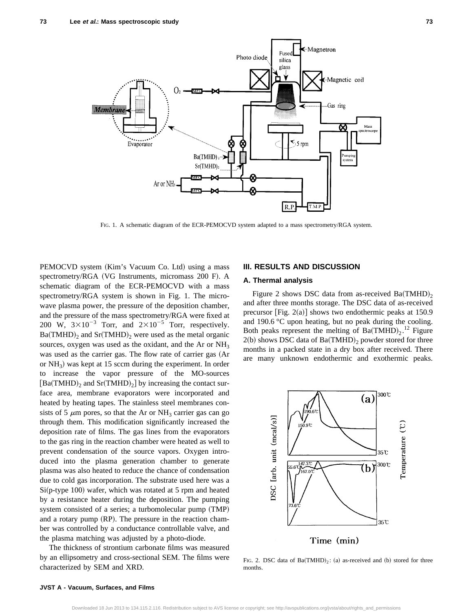

FIG. 1. A schematic diagram of the ECR-PEMOCVD system adapted to a mass spectrometry/RGA system.

PEMOCVD system (Kim's Vacuum Co. Ltd) using a mass spectrometry/RGA (VG Instruments, micromass 200 F). A schematic diagram of the ECR-PEMOCVD with a mass spectrometry/RGA system is shown in Fig. 1. The microwave plasma power, the pressure of the deposition chamber, and the pressure of the mass spectrometry/RGA were fixed at 200 W,  $3\times10^{-3}$  Torr, and  $2\times10^{-5}$  Torr, respectively.  $Ba(TMHD)_2$  and  $Sr(TMHD)_2$  were used as the metal organic sources, oxygen was used as the oxidant, and the Ar or NH<sub>3</sub> was used as the carrier gas. The flow rate of carrier gas (Ar or  $NH<sub>3</sub>$ ) was kept at 15 sccm during the experiment. In order to increase the vapor pressure of the MO-sources  $[Ba(TMHD)_2]$  and  $Sr(TMHD)_2]$  by increasing the contact surface area, membrane evaporators were incorporated and heated by heating tapes. The stainless steel membranes consists of 5  $\mu$ m pores, so that the Ar or NH<sub>3</sub> carrier gas can go through them. This modification significantly increased the deposition rate of films. The gas lines from the evaporators to the gas ring in the reaction chamber were heated as well to prevent condensation of the source vapors. Oxygen introduced into the plasma generation chamber to generate plasma was also heated to reduce the chance of condensation due to cold gas incorporation. The substrate used here was a  $Si(p-type 100)$  wafer, which was rotated at 5 rpm and heated by a resistance heater during the deposition. The pumping system consisted of a series; a turbomolecular pump (TMP) and a rotary pump  $(RP)$ . The pressure in the reaction chamber was controlled by a conductance controllable valve, and the plasma matching was adjusted by a photo-diode.

The thickness of strontium carbonate films was measured by an ellipsometry and cross-sectional SEM. The films were characterized by SEM and XRD.

## **III. RESULTS AND DISCUSSION**

## **A. Thermal analysis**

Figure 2 shows DSC data from as-received  $Ba(TMHD)_{2}$ and after three months storage. The DSC data of as-received precursor [Fig.  $2(a)$ ] shows two endothermic peaks at 150.9 and 190.6 °C upon heating, but no peak during the cooling. Both peaks represent the melting of  $Ba(TMHD)_2$ .<sup>12</sup> Figure  $2(b)$  shows DSC data of Ba(TMHD)<sub>2</sub> powder stored for three months in a packed state in a dry box after received. There are many unknown endothermic and exothermic peaks.



FIG. 2. DSC data of  $Ba(TMHD)_2$ : (a) as-received and (b) stored for three months.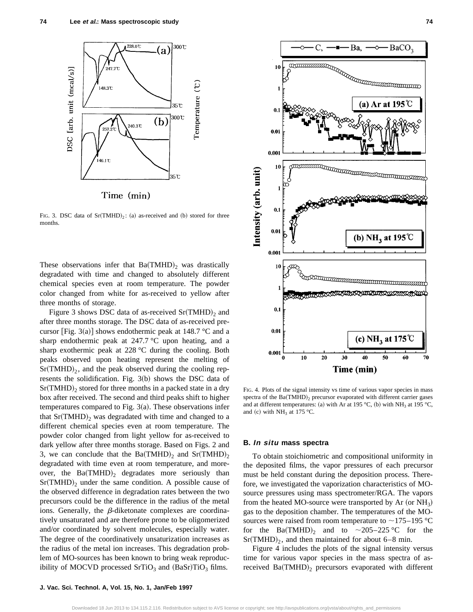

FIG. 3. DSC data of  $Sr(TMHD)_2$ : (a) as-received and (b) stored for three months.

These observations infer that  $Ba(TMHD)_2$  was drastically degradated with time and changed to absolutely different chemical species even at room temperature. The powder color changed from white for as-received to yellow after three months of storage.

Figure 3 shows DSC data of as-received  $Sr(TMHD)_2$  and after three months storage. The DSC data of as-received precursor [Fig. 3(a)] shows endothermic peak at 148.7 °C and a sharp endothermic peak at 247.7 °C upon heating, and a sharp exothermic peak at 228 °C during the cooling. Both peaks observed upon heating represent the melting of  $Sr(TMHD)_2$ , and the peak observed during the cooling represents the solidification. Fig.  $3(b)$  shows the DSC data of  $Sr(TMHD)$ <sub>2</sub> stored for three months in a packed state in a dry box after received. The second and third peaks shift to higher temperatures compared to Fig.  $3(a)$ . These observations infer that  $Sr(TMHD)$ <sub>2</sub> was degradated with time and changed to a different chemical species even at room temperature. The powder color changed from light yellow for as-received to dark yellow after three months storage. Based on Figs. 2 and 3, we can conclude that the Ba(TMHD)<sub>2</sub> and Sr(TMHD)<sub>2</sub> degradated with time even at room temperature, and moreover, the  $Ba(TMHD)_2$  degradates more seriously than  $Sr(TMHD)_2$  under the same condition. A possible cause of the observed difference in degradation rates between the two precursors could be the difference in the radius of the metal ions. Generally, the  $\beta$ -diketonate complexes are coordinatively unsaturated and are therefore prone to be oligomerized and/or coordinated by solvent molecules, especially water. The degree of the coordinatively unsaturization increases as the radius of the metal ion increases. This degradation problem of MO-sources has been known to bring weak reproducibility of MOCVD processed  $SrTiO<sub>3</sub>$  and  $(BaSr)TiO<sub>3</sub>$  films.



FIG. 4. Plots of the signal intensity vs time of various vapor species in mass spectra of the  $Ba(TMHD)$ , precursor evaporated with different carrier gases and at different temperatures: (a) with Ar at 195 °C, (b) with NH<sub>3</sub> at 195 °C, and (c) with  $NH<sub>3</sub>$  at 175 °C.

#### **B. In situ mass spectra**

To obtain stoichiometric and compositional uniformity in the deposited films, the vapor pressures of each precursor must be held constant during the deposition process. Therefore, we investigated the vaporization characteristics of MOsource pressures using mass spectrometer/RGA. The vapors from the heated MO-source were transported by Ar (or  $NH<sub>3</sub>$ ) gas to the deposition chamber. The temperatures of the MOsources were raised from room temperature to  $\sim$ 175–195 °C for the Ba(TMHD)<sub>2</sub> and to  $\sim$ 205–225 °C for the  $Sr(TMHD)<sub>2</sub>$ , and then maintained for about 6–8 min.

Figure 4 includes the plots of the signal intensity versus time for various vapor species in the mass spectra of asreceived  $Ba(TMHD)_2$  precursors evaporated with different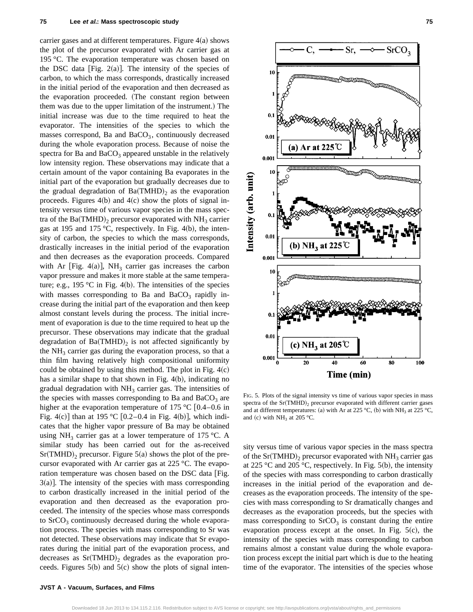carrier gases and at different temperatures. Figure  $4(a)$  shows the plot of the precursor evaporated with Ar carrier gas at 195 °C. The evaporation temperature was chosen based on the DSC data [Fig. 2(a)]. The intensity of the species of carbon, to which the mass corresponds, drastically increased in the initial period of the evaporation and then decreased as the evaporation proceeded. (The constant region between them was due to the upper limitation of the instrument.) The initial increase was due to the time required to heat the evaporator. The intensities of the species to which the masses correspond, Ba and  $BaCO<sub>3</sub>$ , continuously decreased during the whole evaporation process. Because of noise the spectra for Ba and  $BaCO<sub>3</sub>$  appeared unstable in the relatively low intensity region. These observations may indicate that a certain amount of the vapor containing Ba evaporates in the initial part of the evaporation but gradually decreases due to the gradual degradation of  $Ba(TMHD)_2$  as the evaporation proceeds. Figures  $4(b)$  and  $4(c)$  show the plots of signal intensity versus time of various vapor species in the mass spectra of the Ba(TMHD)<sub>2</sub> precursor evaporated with NH<sub>3</sub> carrier gas at 195 and 175 °C, respectively. In Fig. 4(b), the intensity of carbon, the species to which the mass corresponds, drastically increases in the initial period of the evaporation and then decreases as the evaporation proceeds. Compared with Ar [Fig. 4(a)], NH<sub>3</sub> carrier gas increases the carbon vapor pressure and makes it more stable at the same temperature; e.g., 195 °C in Fig. 4(b). The intensities of the species with masses corresponding to Ba and  $BaCO<sub>3</sub>$  rapidly increase during the initial part of the evaporation and then keep almost constant levels during the process. The initial increment of evaporation is due to the time required to heat up the precursor. These observations may indicate that the gradual degradation of  $Ba(TMHD)_2$  is not affected significantly by the  $NH<sub>3</sub>$  carrier gas during the evaporation process, so that a thin film having relatively high compositional uniformity could be obtained by using this method. The plot in Fig.  $4(c)$ has a similar shape to that shown in Fig.  $4(b)$ , indicating no gradual degradation with  $NH<sub>3</sub>$  carrier gas. The intensities of the species with masses corresponding to Ba and  $BaCO<sub>3</sub>$  are higher at the evaporation temperature of 175 °C  $[0.4-0.6$  in Fig. 4(c)] than at 195 °C [0.2–0.4 in Fig. 4(b)], which indicates that the higher vapor pressure of Ba may be obtained using NH<sub>3</sub> carrier gas at a lower temperature of 175 °C. A similar study has been carried out for the as-received  $Sr(TMHD)$ , precursor. Figure 5(a) shows the plot of the precursor evaporated with Ar carrier gas at 225 °C. The evaporation temperature was chosen based on the DSC data [Fig.  $3(a)$ . The intensity of the species with mass corresponding to carbon drastically increased in the initial period of the evaporation and then decreased as the evaporation proceeded. The intensity of the species whose mass corresponds to  $SrCO<sub>3</sub>$  continuously decreased during the whole evaporation process. The species with mass corresponding to Sr was not detected. These observations may indicate that Sr evaporates during the initial part of the evaporation process, and decreases as  $Sr(TMHD)_2$  degrades as the evaporation proceeds. Figures  $5(b)$  and  $5(c)$  show the plots of signal inten-



FIG. 5. Plots of the signal intensity vs time of various vapor species in mass spectra of the  $Sr(TMHD)_2$  precursor evaporated with different carrier gases and at different temperatures: (a) with Ar at 225 °C, (b) with NH<sub>3</sub> at 225 °C, and (c) with  $NH<sub>3</sub>$  at 205 °C.

sity versus time of various vapor species in the mass spectra of the Sr(TMHD)<sub>2</sub> precursor evaporated with NH<sub>3</sub> carrier gas at 225 °C and 205 °C, respectively. In Fig. 5(b), the intensity of the species with mass corresponding to carbon drastically increases in the initial period of the evaporation and decreases as the evaporation proceeds. The intensity of the species with mass corresponding to Sr dramatically changes and decreases as the evaporation proceeds, but the species with mass corresponding to  $SrCO<sub>3</sub>$  is constant during the entire evaporation process except at the onset. In Fig.  $5(c)$ , the intensity of the species with mass corresponding to carbon remains almost a constant value during the whole evaporation process except the initial part which is due to the heating time of the evaporator. The intensities of the species whose